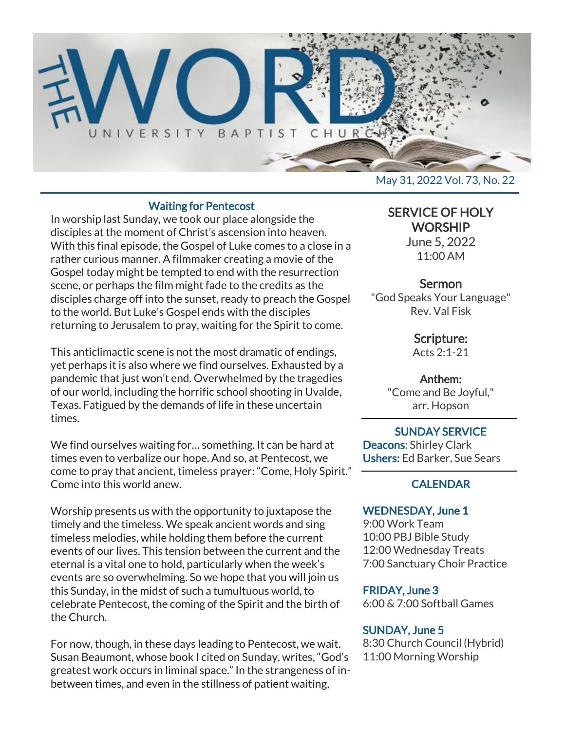

#### Waiting for Pentecost

In worship last Sunday, we took our place alongside the disciples at the moment of Christ's ascension into heaven. With this final episode, the Gospel of Luke comes to a close in a rather curious manner. A filmmaker creating a movie of the Gospel today might be tempted to end with the resurrection scene, or perhaps the film might fade to the credits as the disciples charge off into the sunset, ready to preach the Gospel to the world. But Luke's Gospel ends with the disciples returning to Jerusalem to pray, waiting for the Spirit to come.

This anticlimactic scene is not the most dramatic of endings, yet perhaps it is also where we find ourselves. Exhausted by a pandemic that just won't end. Overwhelmed by the tragedies of our world, including the horrific school shooting in Uvalde, Texas. Fatigued by the demands of life in these uncertain times.

We find ourselves waiting for… something. It can be hard at times even to verbalize our hope. And so, at Pentecost, we come to pray that ancient, timeless prayer: "Come, Holy Spirit." Come into this world anew.

Worship presents us with the opportunity to juxtapose the timely and the timeless. We speak ancient words and sing timeless melodies, while holding them before the current events of our lives. This tension between the current and the eternal is a vital one to hold, particularly when the week's events are so overwhelming. So we hope that you will join us this Sunday, in the midst of such a tumultuous world, to celebrate Pentecost, the coming of the Spirit and the birth of the Church.

For now, though, in these days leading to Pentecost, we wait. Susan Beaumont, whose book I cited on Sunday, writes, "God's greatest work occurs in liminal space." In the strangeness of inbetween times, and even in the stillness of patient waiting,

May 31, 2022 Vol. 73, No. 22

# SERVICE OF HOLY **WORSHIP**

June 5, 2022 11:00 AM

## **Sermon**

"God Speaks Your Language" Rev. Val Fisk

## Scripture:

Acts 2:1-21

## Anthem:

"Come and Be Joyful," arr. Hopson

#### SUNDAY SERVICE Deacons: Shirley Clark Ushers: Ed Barker, Sue Sears

# **CALENDAR**

#### WEDNESDAY, June 1

9:00 Work Team 10:00 PBJ Bible Study 12:00 Wednesday Treats 7:00 Sanctuary Choir Practice

## FRIDAY, June 3

6:00 & 7:00 Softball Games

## SUNDAY, June 5

8:30 Church Council (Hybrid) 11:00 Morning Worship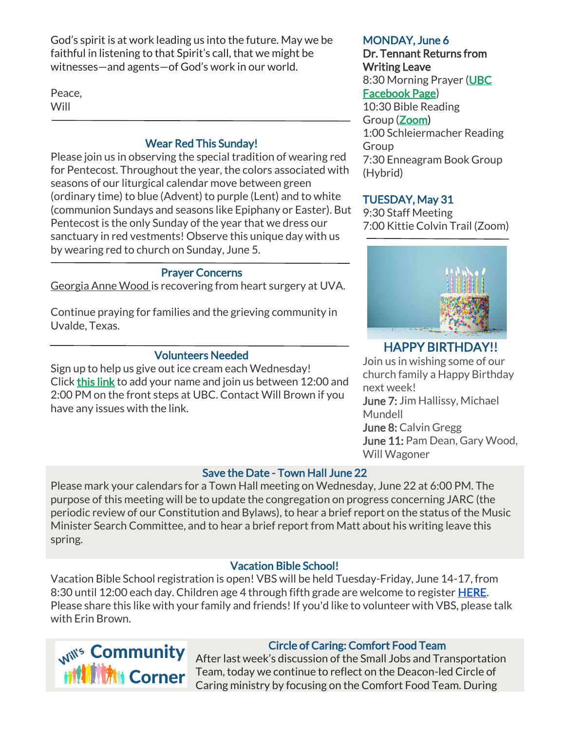God's spirit is at work leading us into the future. May we be faithful in listening to that Spirit's call, that we might be witnesses—and agents—of God's work in our world.

Peace, **Will** 

## Wear Red This Sunday!

Please join us in observing the special tradition of wearing red for Pentecost. Throughout the year, the colors associated with seasons of our liturgical calendar move between green (ordinary time) to blue (Advent) to purple (Lent) and to white (communion Sundays and seasons like Epiphany or Easter). But Pentecost is the only Sunday of the year that we dress our sanctuary in red vestments! Observe this unique day with us by wearing red to church on Sunday, June 5.

## Prayer Concerns

Georgia Anne Wood is recovering from heart surgery at UVA.

Continue praying for families and the grieving community in Uvalde, Texas.

## Volunteers Needed

Sign up to help us give out ice cream each Wednesday! Click [this link](https://docs.google.com/document/d/1KBkQTR3x3nmWKJ1rSoSU74-feVbhhp7ucWTPgBpxmYE/edit?usp=sharing) to add your name and join us between 12:00 and 2:00 PM on the front steps at UBC. Contact Will Brown if you have any issues with the link.

## Save the Date - Town Hall June 22

Please mark your calendars for a Town Hall meeting on Wednesday, June 22 at 6:00 PM. The purpose of this meeting will be to update the congregation on progress concerning JARC (the periodic review of our Constitution and Bylaws), to hear a brief report on the status of the Music Minister Search Committee, and to hear a brief report from Matt about his writing leave this spring.

## Vacation Bible School!

Vacation Bible School registration is open! VBS will be held Tuesday-Friday, June 14-17, from 8:30 until 12:00 each day. Children age 4 through fifth grade are welcome to register **HERE**. Please share this like with your family and friends! If you'd like to volunteer with VBS, please talk with Erin Brown.



# Circle of Caring: Comfort Food Team

After last week's discussion of the Small Jobs and Transportation Team, today we continue to reflect on the Deacon-led Circle of Caring ministry by focusing on the Comfort Food Team. During

#### MONDAY, June 6

# Dr. Tennant Returns from Writing Leave

8:30 Morning Prayer [\(UBC](https://www.facebook.com/UniversityBaptistChurchCharlottesville) [Facebook Page\)](https://www.facebook.com/UniversityBaptistChurchCharlottesville)

10:30 Bible Reading Group [\(Zoom\)](https://us02web.zoom.us/j/85381408096?pwd=MzdkVG9JZ2x0M2JFK01KNlNjSWtqUT09) 1:00 Schleiermacher Reading Group 7:30 Enneagram Book Group (Hybrid)

# TUESDAY, May 31

9:30 Staff Meeting 7:00 Kittie Colvin Trail (Zoom)



# HAPPY BIRTHDAY!!

Join us in wishing some of our church family a Happy Birthday next week! June 7: Jim Hallissy, Michael Mundell June 8: Calvin Gregg June 11: Pam Dean, Gary Wood, Will Wagoner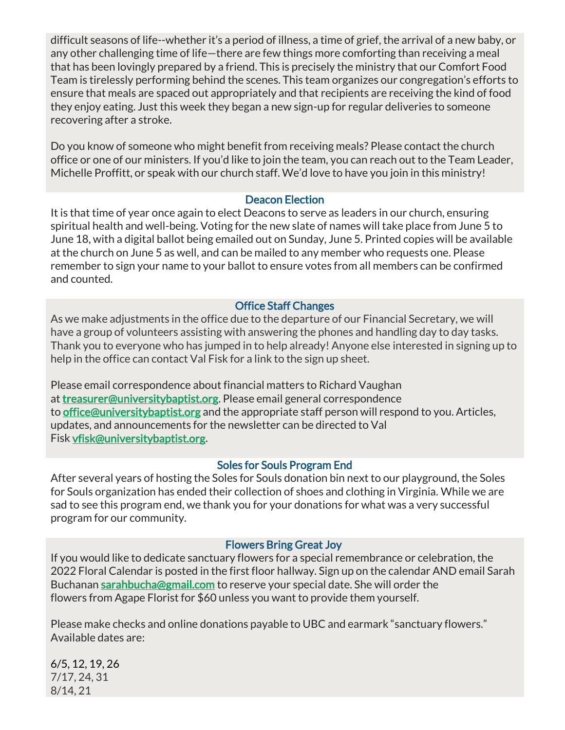difficult seasons of life--whether it's a period of illness, a time of grief, the arrival of a new baby, or any other challenging time of life—there are few things more comforting than receiving a meal that has been lovingly prepared by a friend. This is precisely the ministry that our Comfort Food Team is tirelessly performing behind the scenes. This team organizes our congregation's efforts to ensure that meals are spaced out appropriately and that recipients are receiving the kind of food they enjoy eating. Just this week they began a new sign-up for regular deliveries to someone recovering after a stroke.

Do you know of someone who might benefit from receiving meals? Please contact the church office or one of our ministers. If you'd like to join the team, you can reach out to the Team Leader, Michelle Proffitt, or speak with our church staff. We'd love to have you join in this ministry!

## Deacon Election

It is that time of year once again to elect Deacons to serve as leaders in our church, ensuring spiritual health and well-being. Voting for the new slate of names will take place from June 5 to June 18, with a digital ballot being emailed out on Sunday, June 5. Printed copies will be available at the church on June 5 as well, and can be mailed to any member who requests one. Please remember to sign your name to your ballot to ensure votes from all members can be confirmed and counted.

## Office Staff Changes

As we make adjustments in the office due to the departure of our Financial Secretary, we will have a group of volunteers assisting with answering the phones and handling day to day tasks. Thank you to everyone who has jumped in to help already! Anyone else interested in signing up to help in the office can contact Val Fisk for a link to the sign up sheet.

Please email correspondence about financial matters to Richard Vaughan at [treasurer@universitybaptist.org.](mailto:treasurer@universitybaptist.org) Please email general correspondence to [office@universitybaptist.org](mailto:office@universitybaptist.org) and the appropriate staff person will respond to you. Articles, updates, and announcements for the newsletter can be directed to Val Fisk [vfisk@universitybaptist.org.](mailto:vfisk@universitybaptist.org)

## Soles for Souls Program End

After several years of hosting the Soles for Souls donation bin next to our playground, the Soles for Souls organization has ended their collection of shoes and clothing in Virginia. While we are sad to see this program end, we thank you for your donations for what was a very successful program for our community.

#### Flowers Bring Great Joy

If you would like to dedicate sanctuary flowers for a special remembrance or celebration, the 2022 Floral Calendar is posted in the first floor hallway. Sign up on the calendar AND email Sarah Buchanan [sarahbucha@gmail.com](mailto:sarahbucha@gmail.com) to reserve your special date. She will order the flowers from Agape Florist for \$60 unless you want to provide them yourself.

Please make checks and online donations payable to UBC and earmark "sanctuary flowers." Available dates are:

6/5, 12, 19, 26 7/17, 24, 31 8/14, 21